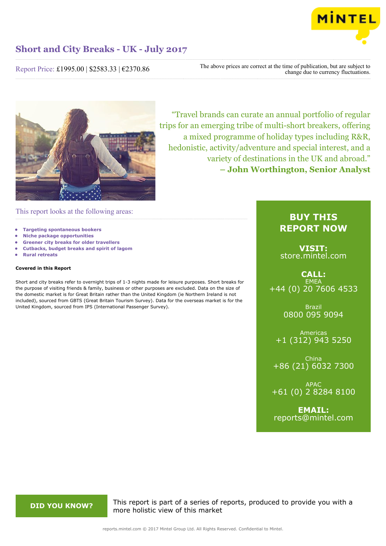

Report Price: £1995.00 | \$2583.33 | €2370.86

The above prices are correct at the time of publication, but are subject to change due to currency fluctuations.



"Travel brands can curate an annual portfolio of regular trips for an emerging tribe of multi-short breakers, offering a mixed programme of holiday types including R&R, hedonistic, activity/adventure and special interest, and a variety of destinations in the UK and abroad." **– John Worthington, Senior Analyst**

This report looks at the following areas:

- **• Targeting spontaneous bookers**
- **• Niche package opportunities**
- **• Greener city breaks for older travellers**
- **• Cutbacks, budget breaks and spirit of lagom**
- **• Rural retreats**

# **Covered in this Report**

Short and city breaks refer to overnight trips of 1-3 nights made for leisure purposes. Short breaks for the purpose of visiting friends & family, business or other purposes are excluded. Data on the size of the domestic market is for Great Britain rather than the United Kingdom (ie Northern Ireland is not included), sourced from GBTS (Great Britain Tourism Survey). Data for the overseas market is for the United Kingdom, sourced from IPS (International Passenger Survey).

# **BUY THIS REPORT NOW**

**VISIT:** [store.mintel.com](http://reports.mintel.com//display/store/793503/)

# **CALL: EMEA** +44 (0) 20 7606 4533

Brazil 0800 095 9094

Americas +1 (312) 943 5250

China +86 (21) 6032 7300

APAC +61 (0) 2 8284 8100

**EMAIL:** [reports@mintel.com](mailto:reports@mintel.com)

**DID YOU KNOW?** This report is part of a series of reports, produced to provide you with a more holistic view of this market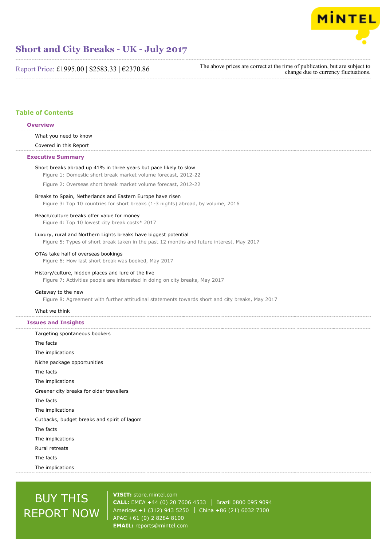

Report Price: £1995.00 | \$2583.33 | €2370.86

The above prices are correct at the time of publication, but are subject to change due to currency fluctuations.

# **Table of Contents**

# **Overview**

What you need to know

Covered in this Report

# **Executive Summary**

| Short breaks abroad up 41% in three years but pace likely to slow<br>Figure 1: Domestic short break market volume forecast, 2012-22                         |
|-------------------------------------------------------------------------------------------------------------------------------------------------------------|
| Figure 2: Overseas short break market volume forecast, 2012-22                                                                                              |
| Breaks to Spain, Netherlands and Eastern Europe have risen<br>Figure 3: Top 10 countries for short breaks (1-3 nights) abroad, by volume, 2016              |
| Beach/culture breaks offer value for money<br>Figure 4: Top 10 lowest city break costs* 2017                                                                |
| Luxury, rural and Northern Lights breaks have biggest potential<br>Figure 5: Types of short break taken in the past 12 months and future interest, May 2017 |
| OTAs take half of overseas bookings<br>Figure 6: How last short break was booked, May 2017                                                                  |
| History/culture, hidden places and lure of the live<br>Figure 7: Activities people are interested in doing on city breaks, May 2017                         |
| Gateway to the new<br>Figure 8: Agreement with further attitudinal statements towards short and city breaks, May 2017                                       |
| What we think                                                                                                                                               |
| <b>Issues and Insights</b>                                                                                                                                  |
| Targeting spontaneous bookers                                                                                                                               |
|                                                                                                                                                             |
| The facts                                                                                                                                                   |
| The implications                                                                                                                                            |
| Niche package opportunities                                                                                                                                 |
| The facts                                                                                                                                                   |
| The implications                                                                                                                                            |
| Greener city breaks for older travellers                                                                                                                    |
| The facts                                                                                                                                                   |
| The implications                                                                                                                                            |
| Cutbacks, budget breaks and spirit of lagom                                                                                                                 |
| The facts                                                                                                                                                   |
| The implications                                                                                                                                            |
| Rural retreats                                                                                                                                              |
| The facts                                                                                                                                                   |

# BUY THIS REPORT NOW

**VISIT:** [store.mintel.com](http://reports.mintel.com//display/store/793503/) **CALL:** EMEA +44 (0) 20 7606 4533 | Brazil 0800 095 9094 Americas +1 (312) 943 5250 | China +86 (21) 6032 7300 APAC +61 (0) 2 8284 8100 **EMAIL:** [reports@mintel.com](mailto:reports@mintel.com)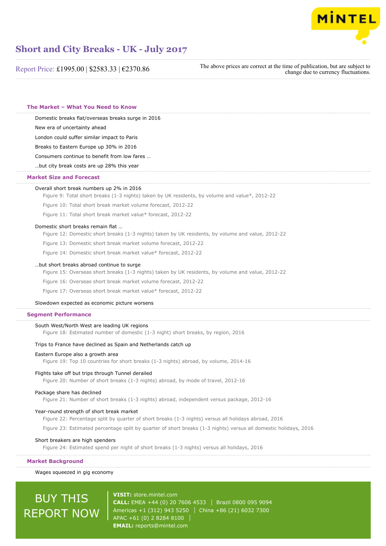

Report Price: £1995.00 | \$2583.33 | €2370.86

The above prices are correct at the time of publication, but are subject to change due to currency fluctuations.

**The Market – What You Need to Know**

Domestic breaks flat/overseas breaks surge in 2016

New era of uncertainty ahead

London could suffer similar impact to Paris

Breaks to Eastern Europe up 30% in 2016

Consumers continue to benefit from low fares …

…but city break costs are up 28% this year

# **Market Size and Forecast**

## Overall short break numbers up 2% in 2016

Figure 9: Total short breaks (1-3 nights) taken by UK residents, by volume and value\*, 2012-22

Figure 10: Total short break market volume forecast, 2012-22

Figure 11: Total short break market value\* forecast, 2012-22

#### Domestic short breaks remain flat …

Figure 12: Domestic short breaks (1-3 nights) taken by UK residents, by volume and value, 2012-22

Figure 13: Domestic short break market volume forecast, 2012-22

Figure 14: Domestic short break market value\* forecast, 2012-22

# …but short breaks abroad continue to surge

Figure 15: Overseas short breaks (1-3 nights) taken by UK residents, by volume and value, 2012-22

Figure 16: Overseas short break market volume forecast, 2012-22

Figure 17: Overseas short break market value\* forecast, 2012-22

#### Slowdown expected as economic picture worsens

# **Segment Performance**

# South West/North West are leading UK regions

Figure 18: Estimated number of domestic (1-3 night) short breaks, by region, 2016

# Trips to France have declined as Spain and Netherlands catch up

#### Eastern Europe also a growth area

Figure 19: Top 10 countries for short breaks (1-3 nights) abroad, by volume, 2014-16

# Flights take off but trips through Tunnel derailed

Figure 20: Number of short breaks (1-3 nights) abroad, by mode of travel, 2012-16

# Package share has declined

Figure 21: Number of short breaks (1-3 nights) abroad, independent versus package, 2012-16

# Year-round strength of short break market

Figure 22: Percentage split by quarter of short breaks (1-3 nights) versus all holidays abroad, 2016

Figure 23: Estimated percentage split by quarter of short breaks (1-3 nights) versus all domestic holidays, 2016

# Short breakers are high spenders

Figure 24: Estimated spend per night of short breaks (1-3 nights) versus all holidays, 2016

#### **Market Background**

# Wages squeezed in gig economy

# BUY THIS REPORT NOW

**VISIT:** [store.mintel.com](http://reports.mintel.com//display/store/793503/) **CALL:** EMEA +44 (0) 20 7606 4533 Brazil 0800 095 9094 Americas +1 (312) 943 5250 | China +86 (21) 6032 7300 APAC +61 (0) 2 8284 8100 **EMAIL:** [reports@mintel.com](mailto:reports@mintel.com)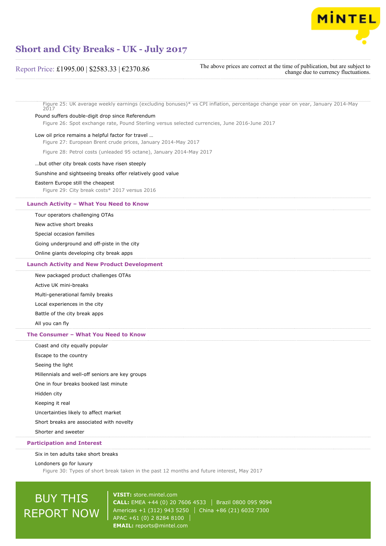

# Report Price: £1995.00 | \$2583.33 | €2370.86

The above prices are correct at the time of publication, but are subject to change due to currency fluctuations.

Figure 25: UK average weekly earnings (excluding bonuses)\* vs CPI inflation, percentage change year on year, January 2014-May 2017

# Pound suffers double-digit drop since Referendum

Figure 26: Spot exchange rate, Pound Sterling versus selected currencies, June 2016-June 2017

## Low oil price remains a helpful factor for travel …

Figure 27: European Brent crude prices, January 2014-May 2017

Figure 28: Petrol costs (unleaded 95 octane), January 2014-May 2017

## …but other city break costs have risen steeply

# Sunshine and sightseeing breaks offer relatively good value

# Eastern Europe still the cheapest

Figure 29: City break costs\* 2017 versus 2016

# **Launch Activity – What You Need to Know**

# Tour operators challenging OTAs

New active short breaks

Special occasion families

Going underground and off-piste in the city

Online giants developing city break apps

# **Launch Activity and New Product Development**

New packaged product challenges OTAs

Active UK mini-breaks

Multi-generational family breaks

Local experiences in the city

Battle of the city break apps

All you can fly

# **The Consumer – What You Need to Know**

Coast and city equally popular

Escape to the country

Seeing the light

Millennials and well-off seniors are key groups

One in four breaks booked last minute

Hidden city

Keeping it real

Uncertainties likely to affect market

Short breaks are associated with novelty

Shorter and sweeter

# **Participation and Interest**

#### Six in ten adults take short breaks

Londoners go for luxury

Figure 30: Types of short break taken in the past 12 months and future interest, May 2017

# BUY THIS REPORT NOW

**VISIT:** [store.mintel.com](http://reports.mintel.com//display/store/793503/) **CALL:** EMEA +44 (0) 20 7606 4533 Brazil 0800 095 9094 Americas +1 (312) 943 5250 | China +86 (21) 6032 7300 APAC +61 (0) 2 8284 8100 **EMAIL:** [reports@mintel.com](mailto:reports@mintel.com)